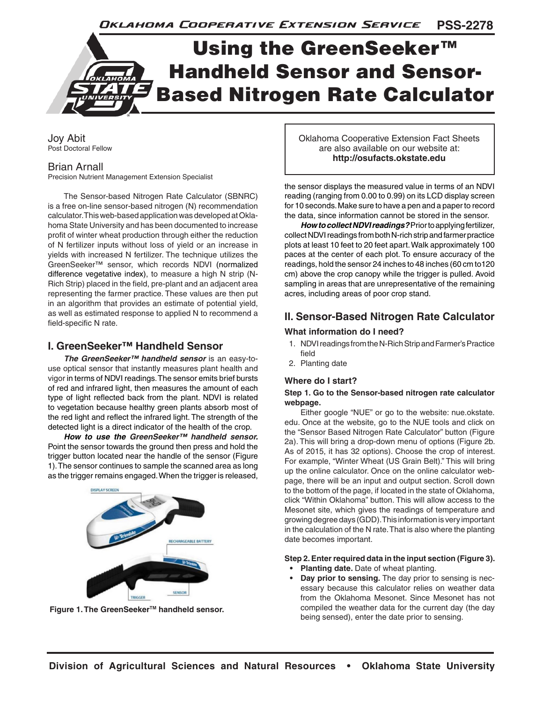**PSS-2278** Oklahoma Cooperative Extension Service

# Using the GreenSeeker™ Handheld Sensor and Sensor-Based Nitrogen Rate Calculator

Joy Abit Post Doctoral Fellow

#### Brian Arnall

Precision Nutrient Management Extension Specialist

The Sensor-based Nitrogen Rate Calculator (SBNRC) is a free on-line sensor-based nitrogen (N) recommendation calculator. This web-based application was developed at Oklahoma State University and has been documented to increase profit of winter wheat production through either the reduction of N fertilizer inputs without loss of yield or an increase in yields with increased N fertilizer. The technique utilizes the GreenSeeker™ sensor, which records NDVI (normalized difference vegetative index), to measure a high N strip (N-Rich Strip) placed in the field, pre-plant and an adjacent area representing the farmer practice. These values are then put in an algorithm that provides an estimate of potential yield, as well as estimated response to applied N to recommend a field-specific N rate.

### **I. GreenSeeker™ Handheld Sensor**

*The GreenSeeker™ handheld sensor* is an easy-touse optical sensor that instantly measures plant health and vigor in terms of NDVI readings. The sensor emits brief bursts of red and infrared light, then measures the amount of each type of light reflected back from the plant. NDVI is related to vegetation because healthy green plants absorb most of the red light and reflect the infrared light. The strength of the detected light is a direct indicator of the health of the crop.

*How to use the GreenSeeker™ handheld sensor.* Point the sensor towards the ground then press and hold the trigger button located near the handle of the sensor (Figure 1). The sensor continues to sample the scanned area as long as the trigger remains engaged. When the trigger is released,



**Figure 1. The GreenSeeker™ handheld sensor.** 

Oklahoma Cooperative Extension Fact Sheets are also available on our website at: **http://osufacts.okstate.edu**

the sensor displays the measured value in terms of an NDVI reading (ranging from 0.00 to 0.99) on its LCD display screen for 10 seconds. Make sure to have a pen and a paper to record the data, since information cannot be stored in the sensor.

*How to collect NDVI readings?* Prior to applying fertilizer, collect NDVI readings from both N-rich strip and farmer practice plots at least 10 feet to 20 feet apart. Walk approximately 100 paces at the center of each plot. To ensure accuracy of the readings, hold the sensor 24 inches to 48 inches (60 cm to120 cm) above the crop canopy while the trigger is pulled. Avoid sampling in areas that are unrepresentative of the remaining acres, including areas of poor crop stand.

# **II. Sensor-Based Nitrogen Rate Calculator**

#### **What information do I need?**

- 1. NDVI readings from the N-Rich Strip and Farmer's Practice field
- 2. Planting date

#### **Where do I start?**

#### **Step 1. Go to the Sensor-based nitrogen rate calculator webpage.**

Either google "NUE" or go to the website: nue.okstate. edu. Once at the website, go to the NUE tools and click on the "Sensor Based Nitrogen Rate Calculator" button (Figure 2a). This will bring a drop-down menu of options (Figure 2b. As of 2015, it has 32 options). Choose the crop of interest. For example, "Winter Wheat (US Grain Belt)." This will bring up the online calculator. Once on the online calculator webpage, there will be an input and output section. Scroll down to the bottom of the page, if located in the state of Oklahoma, click "Within Oklahoma" button. This will allow access to the Mesonet site, which gives the readings of temperature and growing degree days (GDD). This information is very important in the calculation of the N rate. That is also where the planting date becomes important.

# **Step 2. Enter required data in the input section (Figure 3).**

- **• Planting date.** Date of wheat planting.
- **• Day prior to sensing.** The day prior to sensing is necessary because this calculator relies on weather data from the Oklahoma Mesonet. Since Mesonet has not compiled the weather data for the current day (the day being sensed), enter the date prior to sensing.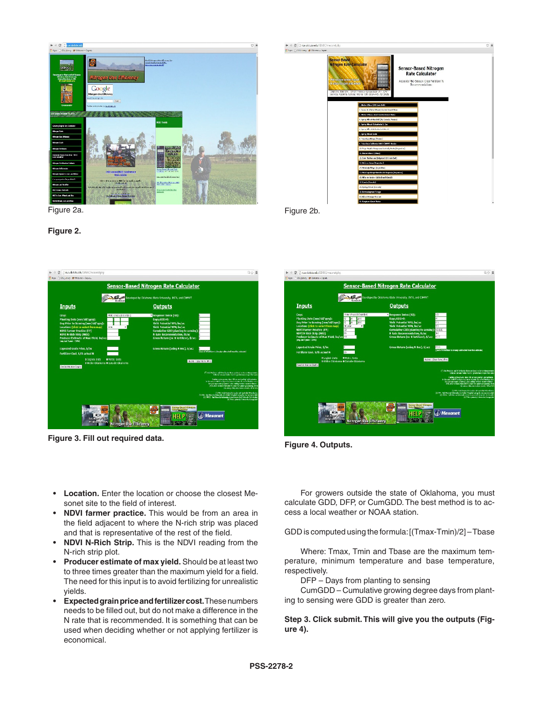







**Figure 3. Fill out required data.** Figure 4. Outputs.



- **• Location.** Enter the location or choose the closest Mesonet site to the field of interest.
- **• NDVI farmer practice.** This would be from an area in the field adjacent to where the N-rich strip was placed and that is representative of the rest of the field.
- **• NDVI N-Rich Strip.** This is the NDVI reading from the N-rich strip plot.
- **• Producer estimate of max yield.** Should be at least two to three times greater than the maximum yield for a field. The need for this input is to avoid fertilizing for unrealistic yields.
- **• Expected grain price and fertilizer cost.** These numbers needs to be filled out, but do not make a difference in the N rate that is recommended. It is something that can be used when deciding whether or not applying fertilizer is economical.

For growers outside the state of Oklahoma, you must calculate GDD, DFP, or CumGDD. The best method is to access a local weather or NOAA station.

GDD is computed using the formula: [(Tmax-Tmin)/2] – Tbase

Where: Tmax, Tmin and Tbase are the maximum temperature, minimum temperature and base temperature, respectively.

DFP – Days from planting to sensing

CumGDD – Cumulative growing degree days from planting to sensing were GDD is greater than zero.

**Step 3. Click submit. This will give you the outputs (Figure 4).**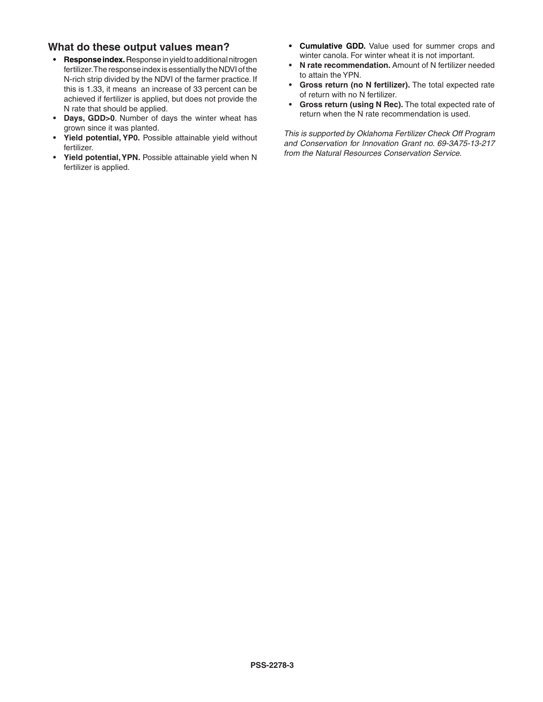## **What do these output values mean?**

- **• Response index.** Response in yield to additional nitrogen fertilizer. The response index is essentially the NDVI of the N-rich strip divided by the NDVI of the farmer practice. If this is 1.33, it means an increase of 33 percent can be achieved if fertilizer is applied, but does not provide the N rate that should be applied.
- **• Days, GDD>0**. Number of days the winter wheat has grown since it was planted.
- **• Yield potential, YP0.** Possible attainable yield without fertilizer.
- **• Yield potential, YPN.** Possible attainable yield when N fertilizer is applied.
- **• Cumulative GDD.** Value used for summer crops and winter canola. For winter wheat it is not important.
- **• N rate recommendation.** Amount of N fertilizer needed to attain the YPN.
- **• Gross return (no N fertilizer).** The total expected rate of return with no N fertilizer.
- **• Gross return (using N Rec).** The total expected rate of return when the N rate recommendation is used.

*This is supported by Oklahoma Fertilizer Check Off Program and Conservation for Innovation Grant no. 69-3A75-13-217 from the Natural Resources Conservation Service.*